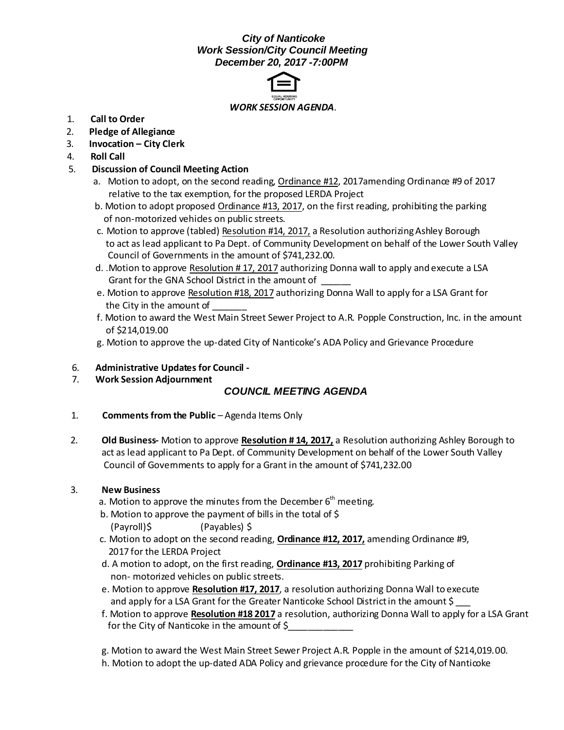## *City of Nanticoke Work Session/City Council Meeting December 20, 2017 -7:00PM*



- 1. **Call to Order**
- 2. **Pledge of Allegiance**
- 3. **Invocation – City Clerk**
- 4. **Roll Call**
- 5. **Discussion of Council Meeting Action**
	- a. Motion to adopt, on the second reading, Ordinance #12, 2017amending Ordinance #9 of 2017 relative to the tax exemption, for the proposed LERDA Project
	- b. Motion to adopt proposed Ordinance #13, 2017, on the first reading, prohibiting the parking of non-motorized vehides on public streets.
	- c. Motion to approve (tabled) Resolution #14, 2017, a Resolution authorizing Ashley Borough to act as lead applicant to Pa Dept. of Community Development on behalf of the Lower South Valley Council of Governments in the amount of \$741,232.00.
	- d. .Motion to approve Resolution # 17, 2017 authorizing Donna wall to apply and execute a LSA Grant for the GNA School District in the amount of
	- e. Motion to approve Resolution #18, 2017 authorizing Donna Wall to apply for a LSA Grant for the City in the amount of
	- f. Motion to award the West Main Street Sewer Project to A.R. Popple Construction, Inc. in the amount of \$214,019.00
	- g. Motion to approve the up-dated City of Nanticoke's ADA Policy and Grievance Procedure
- 6. **Administrative Updates for Council -**
- 7. **Work Session Adjournment**

# *COUNCIL MEETING AGENDA*

- 1. **Comments from the Public** Agenda Items Only
- 2. **Old Business-** Motion to approve **Resolution # 14, 2017,** a Resolution authorizing Ashley Borough to act as lead applicant to Pa Dept. of Community Development on behalf of the Lower South Valley Council of Governments to apply for a Grant in the amount of \$741,232.00

#### 3. **New Business**

- a. Motion to approve the minutes from the December  $6<sup>th</sup>$  meeting.
- b. Motion to approve the payment of bills in the total of \$ (Payroll)\$ (Payables) \$
- c. Motion to adopt on the second reading, **Ordinance #12, 2017,** amending Ordinance #9, 2017 for the LERDA Project
- d. A motion to adopt, on the first reading, **Ordinance #13, 2017** prohibiting Parking of non- motorized vehicles on public streets.
- e. Motion to approve **Resolution #17, 2017**, a resolution authorizing Donna Wall to execute and apply for a LSA Grant for the Greater Nanticoke School District in the amount \$
- f. Motion to approve **Resolution #18 2017** a resolution, authorizing Donna Wall to apply for a LSA Grant for the City of Nanticoke in the amount of \$
- g. Motion to award the West Main Street Sewer Project A.R. Popple in the amount of \$214,019.00.
- h. Motion to adopt the up-dated ADA Policy and grievance procedure for the City of Nanticoke